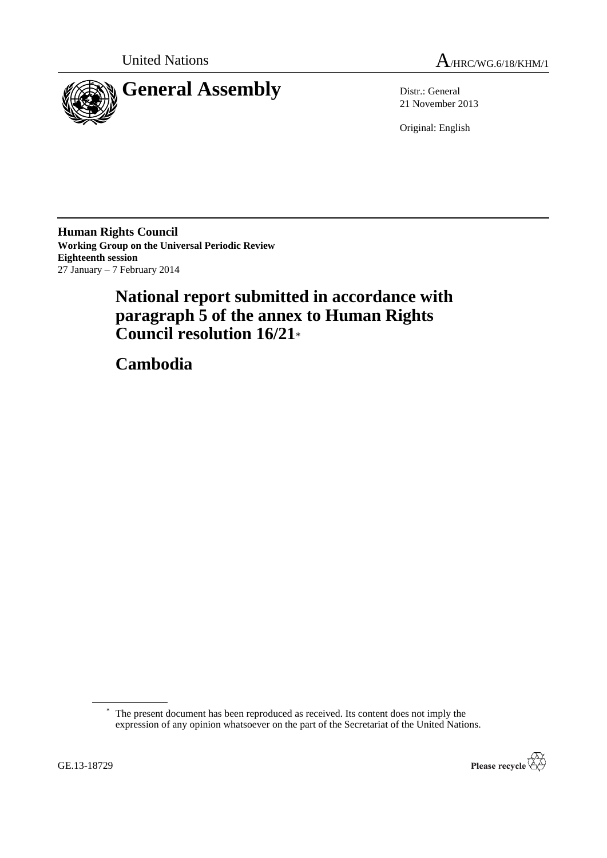



21 November 2013

Original: English

**Human Rights Council Working Group on the Universal Periodic Review Eighteenth session** 27 January – 7 February 2014

# **National report submitted in accordance with paragraph 5 of the annex to Human Rights Council resolution 16/21**\*

**Cambodia**

<sup>\*</sup> The present document has been reproduced as received. Its content does not imply the expression of any opinion whatsoever on the part of the Secretariat of the United Nations.

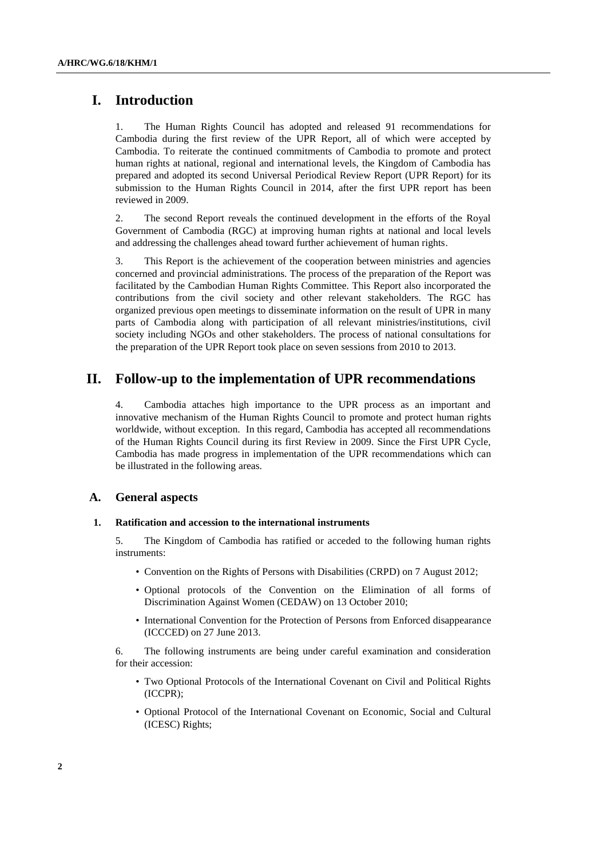# **I. Introduction**

1. The Human Rights Council has adopted and released 91 recommendations for Cambodia during the first review of the UPR Report, all of which were accepted by Cambodia. To reiterate the continued commitments of Cambodia to promote and protect human rights at national, regional and international levels, the Kingdom of Cambodia has prepared and adopted its second Universal Periodical Review Report (UPR Report) for its submission to the Human Rights Council in 2014, after the first UPR report has been reviewed in 2009.

2. The second Report reveals the continued development in the efforts of the Royal Government of Cambodia (RGC) at improving human rights at national and local levels and addressing the challenges ahead toward further achievement of human rights.

3. This Report is the achievement of the cooperation between ministries and agencies concerned and provincial administrations. The process of the preparation of the Report was facilitated by the Cambodian Human Rights Committee. This Report also incorporated the contributions from the civil society and other relevant stakeholders. The RGC has organized previous open meetings to disseminate information on the result of UPR in many parts of Cambodia along with participation of all relevant ministries/institutions, civil society including NGOs and other stakeholders. The process of national consultations for the preparation of the UPR Report took place on seven sessions from 2010 to 2013.

# **II. Follow-up to the implementation of UPR recommendations**

4. Cambodia attaches high importance to the UPR process as an important and innovative mechanism of the Human Rights Council to promote and protect human rights worldwide, without exception. In this regard, Cambodia has accepted all recommendations of the Human Rights Council during its first Review in 2009. Since the First UPR Cycle, Cambodia has made progress in implementation of the UPR recommendations which can be illustrated in the following areas.

### **A. General aspects**

### **1. Ratification and accession to the international instruments**

5. The Kingdom of Cambodia has ratified or acceded to the following human rights instruments:

- Convention on the Rights of Persons with Disabilities (CRPD) on 7 August 2012;
- Optional protocols of the Convention on the Elimination of all forms of Discrimination Against Women (CEDAW) on 13 October 2010;
- International Convention for the Protection of Persons from Enforced disappearance (ICCCED) on 27 June 2013.

6. The following instruments are being under careful examination and consideration for their accession:

- Two Optional Protocols of the International Covenant on Civil and Political Rights (ICCPR);
- Optional Protocol of the International Covenant on Economic, Social and Cultural (ICESC) Rights;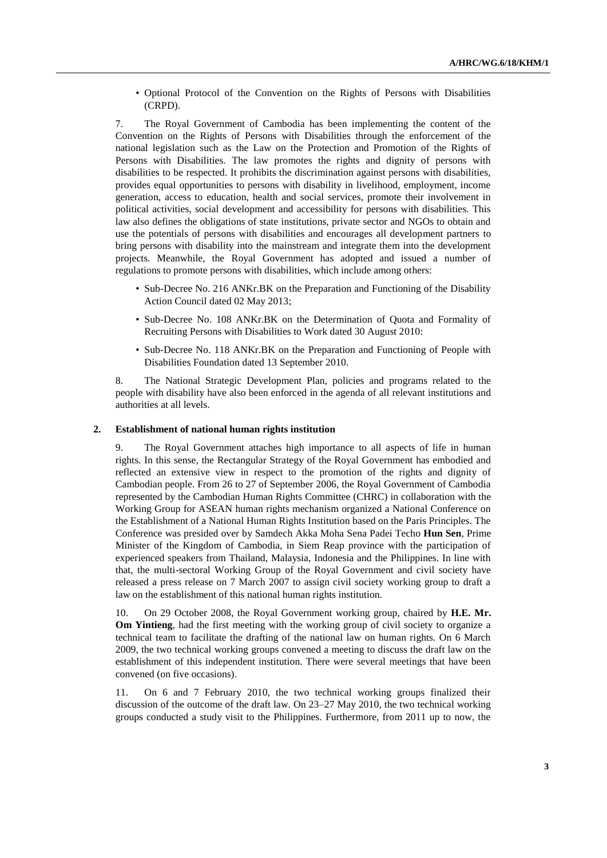• Optional Protocol of the Convention on the Rights of Persons with Disabilities (CRPD).

7. The Royal Government of Cambodia has been implementing the content of the Convention on the Rights of Persons with Disabilities through the enforcement of the national legislation such as the Law on the Protection and Promotion of the Rights of Persons with Disabilities. The law promotes the rights and dignity of persons with disabilities to be respected. It prohibits the discrimination against persons with disabilities, provides equal opportunities to persons with disability in livelihood, employment, income generation, access to education, health and social services, promote their involvement in political activities, social development and accessibility for persons with disabilities. This law also defines the obligations of state institutions, private sector and NGOs to obtain and use the potentials of persons with disabilities and encourages all development partners to bring persons with disability into the mainstream and integrate them into the development projects. Meanwhile, the Royal Government has adopted and issued a number of regulations to promote persons with disabilities, which include among others:

- Sub-Decree No. 216 ANKr.BK on the Preparation and Functioning of the Disability Action Council dated 02 May 2013;
- Sub-Decree No. 108 ANKr.BK on the Determination of Quota and Formality of Recruiting Persons with Disabilities to Work dated 30 August 2010:
- Sub-Decree No. 118 ANKr.BK on the Preparation and Functioning of People with Disabilities Foundation dated 13 September 2010.

8. The National Strategic Development Plan, policies and programs related to the people with disability have also been enforced in the agenda of all relevant institutions and authorities at all levels.

### **2. Establishment of national human rights institution**

9. The Royal Government attaches high importance to all aspects of life in human rights. In this sense, the Rectangular Strategy of the Royal Government has embodied and reflected an extensive view in respect to the promotion of the rights and dignity of Cambodian people. From 26 to 27 of September 2006, the Royal Government of Cambodia represented by the Cambodian Human Rights Committee (CHRC) in collaboration with the Working Group for ASEAN human rights mechanism organized a National Conference on the Establishment of a National Human Rights Institution based on the Paris Principles. The Conference was presided over by Samdech Akka Moha Sena Padei Techo **Hun Sen**, Prime Minister of the Kingdom of Cambodia, in Siem Reap province with the participation of experienced speakers from Thailand, Malaysia, Indonesia and the Philippines. In line with that, the multi-sectoral Working Group of the Royal Government and civil society have released a press release on 7 March 2007 to assign civil society working group to draft a law on the establishment of this national human rights institution.

10. On 29 October 2008, the Royal Government working group, chaired by **H.E. Mr. Om Yintieng**, had the first meeting with the working group of civil society to organize a technical team to facilitate the drafting of the national law on human rights. On 6 March 2009, the two technical working groups convened a meeting to discuss the draft law on the establishment of this independent institution. There were several meetings that have been convened (on five occasions).

11. On 6 and 7 February 2010, the two technical working groups finalized their discussion of the outcome of the draft law. On 23–27 May 2010, the two technical working groups conducted a study visit to the Philippines. Furthermore, from 2011 up to now, the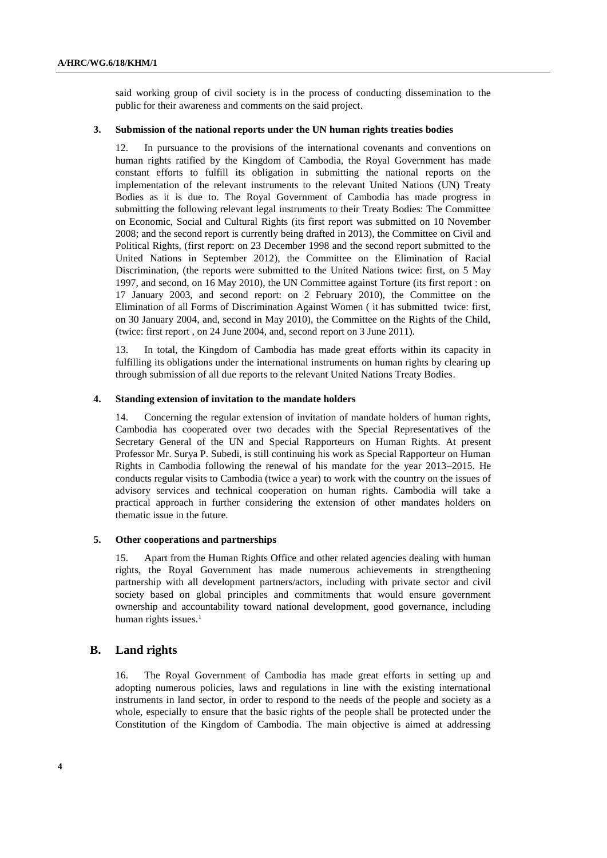said working group of civil society is in the process of conducting dissemination to the public for their awareness and comments on the said project.

### **3. Submission of the national reports under the UN human rights treaties bodies**

12. In pursuance to the provisions of the international covenants and conventions on human rights ratified by the Kingdom of Cambodia, the Royal Government has made constant efforts to fulfill its obligation in submitting the national reports on the implementation of the relevant instruments to the relevant United Nations (UN) Treaty Bodies as it is due to. The Royal Government of Cambodia has made progress in submitting the following relevant legal instruments to their Treaty Bodies: The Committee on Economic, Social and Cultural Rights (its first report was submitted on 10 November 2008; and the second report is currently being drafted in 2013), the Committee on Civil and Political Rights, (first report: on 23 December 1998 and the second report submitted to the United Nations in September 2012), the Committee on the Elimination of Racial Discrimination, (the reports were submitted to the United Nations twice: first, on 5 May 1997, and second, on 16 May 2010), the UN Committee against Torture (its first report : on 17 January 2003, and second report: on 2 February 2010), the Committee on the Elimination of all Forms of Discrimination Against Women ( it has submitted twice: first, on 30 January 2004, and, second in May 2010), the Committee on the Rights of the Child, (twice: first report , on 24 June 2004, and, second report on 3 June 2011).

13. In total, the Kingdom of Cambodia has made great efforts within its capacity in fulfilling its obligations under the international instruments on human rights by clearing up through submission of all due reports to the relevant United Nations Treaty Bodies.

### **4. Standing extension of invitation to the mandate holders**

14. Concerning the regular extension of invitation of mandate holders of human rights, Cambodia has cooperated over two decades with the Special Representatives of the Secretary General of the UN and Special Rapporteurs on Human Rights. At present Professor Mr. Surya P. Subedi, is still continuing his work as Special Rapporteur on Human Rights in Cambodia following the renewal of his mandate for the year 2013–2015. He conducts regular visits to Cambodia (twice a year) to work with the country on the issues of advisory services and technical cooperation on human rights. Cambodia will take a practical approach in further considering the extension of other mandates holders on thematic issue in the future.

#### **5. Other cooperations and partnerships**

15. Apart from the Human Rights Office and other related agencies dealing with human rights, the Royal Government has made numerous achievements in strengthening partnership with all development partners/actors, including with private sector and civil society based on global principles and commitments that would ensure government ownership and accountability toward national development, good governance, including human rights issues.<sup>1</sup>

### **B. Land rights**

16. The Royal Government of Cambodia has made great efforts in setting up and adopting numerous policies, laws and regulations in line with the existing international instruments in land sector, in order to respond to the needs of the people and society as a whole, especially to ensure that the basic rights of the people shall be protected under the Constitution of the Kingdom of Cambodia. The main objective is aimed at addressing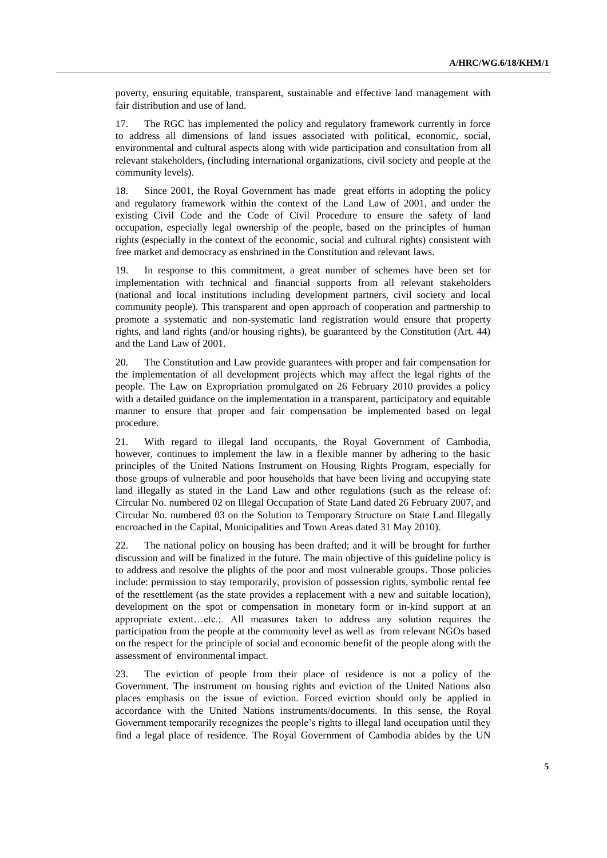poverty, ensuring equitable, transparent, sustainable and effective land management with fair distribution and use of land.

17. The RGC has implemented the policy and regulatory framework currently in force to address all dimensions of land issues associated with political, economic, social, environmental and cultural aspects along with wide participation and consultation from all relevant stakeholders, (including international organizations, civil society and people at the community levels).

18. Since 2001, the Royal Government has made great efforts in adopting the policy and regulatory framework within the context of the Land Law of 2001, and under the existing Civil Code and the Code of Civil Procedure to ensure the safety of land occupation, especially legal ownership of the people, based on the principles of human rights (especially in the context of the economic, social and cultural rights) consistent with free market and democracy as enshrined in the Constitution and relevant laws.

19. In response to this commitment, a great number of schemes have been set for implementation with technical and financial supports from all relevant stakeholders (national and local institutions including development partners, civil society and local community people). This transparent and open approach of cooperation and partnership to promote a systematic and non-systematic land registration would ensure that property rights, and land rights (and/or housing rights), be guaranteed by the Constitution (Art. 44) and the Land Law of 2001.

20. The Constitution and Law provide guarantees with proper and fair compensation for the implementation of all development projects which may affect the legal rights of the people. The Law on Expropriation promulgated on 26 February 2010 provides a policy with a detailed guidance on the implementation in a transparent, participatory and equitable manner to ensure that proper and fair compensation be implemented based on legal procedure.

21. With regard to illegal land occupants, the Royal Government of Cambodia, however, continues to implement the law in a flexible manner by adhering to the basic principles of the United Nations Instrument on Housing Rights Program, especially for those groups of vulnerable and poor households that have been living and occupying state land illegally as stated in the Land Law and other regulations (such as the release of: Circular No. numbered 02 on Illegal Occupation of State Land dated 26 February 2007, and Circular No. numbered 03 on the Solution to Temporary Structure on State Land Illegally encroached in the Capital, Municipalities and Town Areas dated 31 May 2010).

22. The national policy on housing has been drafted; and it will be brought for further discussion and will be finalized in the future. The main objective of this guideline policy is to address and resolve the plights of the poor and most vulnerable groups. Those policies include: permission to stay temporarily, provision of possession rights, symbolic rental fee of the resettlement (as the state provides a replacement with a new and suitable location), development on the spot or compensation in monetary form or in-kind support at an appropriate extent…etc.;. All measures taken to address any solution requires the participation from the people at the community level as well as from relevant NGOs based on the respect for the principle of social and economic benefit of the people along with the assessment of environmental impact.

23. The eviction of people from their place of residence is not a policy of the Government. The instrument on housing rights and eviction of the United Nations also places emphasis on the issue of eviction. Forced eviction should only be applied in accordance with the United Nations instruments/documents. In this sense, the Royal Government temporarily recognizes the people's rights to illegal land occupation until they find a legal place of residence. The Royal Government of Cambodia abides by the UN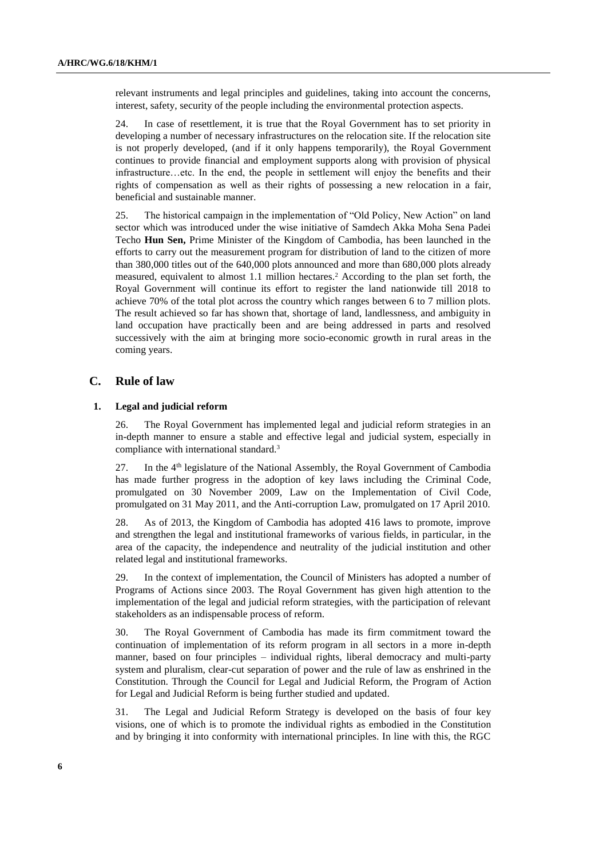relevant instruments and legal principles and guidelines, taking into account the concerns, interest, safety, security of the people including the environmental protection aspects.

24. In case of resettlement, it is true that the Royal Government has to set priority in developing a number of necessary infrastructures on the relocation site. If the relocation site is not properly developed, (and if it only happens temporarily), the Royal Government continues to provide financial and employment supports along with provision of physical infrastructure…etc. In the end, the people in settlement will enjoy the benefits and their rights of compensation as well as their rights of possessing a new relocation in a fair, beneficial and sustainable manner.

25. The historical campaign in the implementation of "Old Policy, New Action" on land sector which was introduced under the wise initiative of Samdech Akka Moha Sena Padei Techo **Hun Sen,** Prime Minister of the Kingdom of Cambodia, has been launched in the efforts to carry out the measurement program for distribution of land to the citizen of more than 380,000 titles out of the 640,000 plots announced and more than 680,000 plots already measured, equivalent to almost 1.1 million hectares.<sup>2</sup> According to the plan set forth, the Royal Government will continue its effort to register the land nationwide till 2018 to achieve 70% of the total plot across the country which ranges between 6 to 7 million plots. The result achieved so far has shown that, shortage of land, landlessness, and ambiguity in land occupation have practically been and are being addressed in parts and resolved successively with the aim at bringing more socio-economic growth in rural areas in the coming years.

### **C. Rule of law**

### **1. Legal and judicial reform**

26. The Royal Government has implemented legal and judicial reform strategies in an in-depth manner to ensure a stable and effective legal and judicial system, especially in compliance with international standard.<sup>3</sup>

27. In the 4<sup>th</sup> legislature of the National Assembly, the Royal Government of Cambodia has made further progress in the adoption of key laws including the Criminal Code, promulgated on 30 November 2009, Law on the Implementation of Civil Code, promulgated on 31 May 2011, and the Anti-corruption Law, promulgated on 17 April 2010.

28. As of 2013, the Kingdom of Cambodia has adopted 416 laws to promote, improve and strengthen the legal and institutional frameworks of various fields, in particular, in the area of the capacity, the independence and neutrality of the judicial institution and other related legal and institutional frameworks.

29. In the context of implementation, the Council of Ministers has adopted a number of Programs of Actions since 2003. The Royal Government has given high attention to the implementation of the legal and judicial reform strategies, with the participation of relevant stakeholders as an indispensable process of reform.

30. The Royal Government of Cambodia has made its firm commitment toward the continuation of implementation of its reform program in all sectors in a more in-depth manner, based on four principles – individual rights, liberal democracy and multi-party system and pluralism, clear-cut separation of power and the rule of law as enshrined in the Constitution. Through the Council for Legal and Judicial Reform, the Program of Action for Legal and Judicial Reform is being further studied and updated.

31. The Legal and Judicial Reform Strategy is developed on the basis of four key visions, one of which is to promote the individual rights as embodied in the Constitution and by bringing it into conformity with international principles. In line with this, the RGC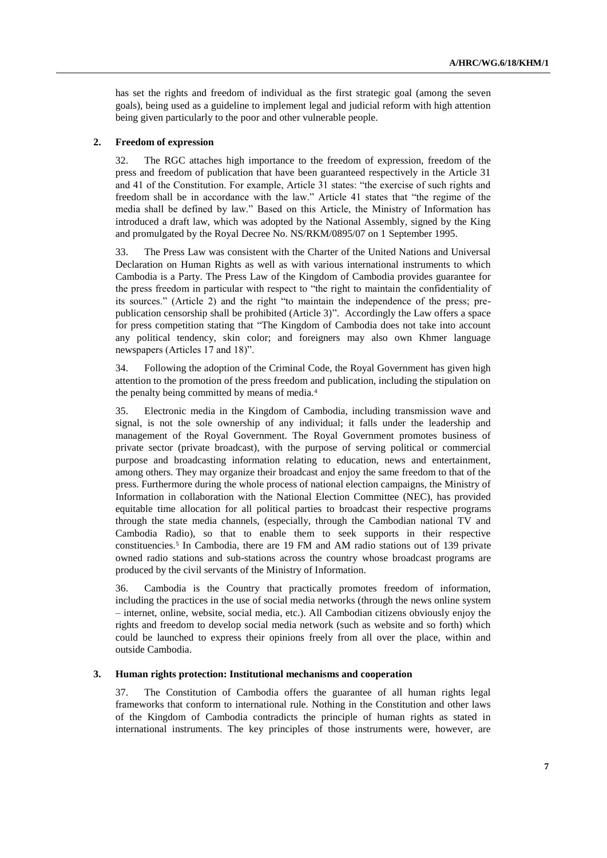has set the rights and freedom of individual as the first strategic goal (among the seven goals), being used as a guideline to implement legal and judicial reform with high attention being given particularly to the poor and other vulnerable people.

### **2. Freedom of expression**

32. The RGC attaches high importance to the freedom of expression, freedom of the press and freedom of publication that have been guaranteed respectively in the Article 31 and 41 of the Constitution. For example, Article 31 states: "the exercise of such rights and freedom shall be in accordance with the law." Article 41 states that "the regime of the media shall be defined by law." Based on this Article, the Ministry of Information has introduced a draft law, which was adopted by the National Assembly, signed by the King and promulgated by the Royal Decree No. NS/RKM/0895/07 on 1 September 1995.

33. The Press Law was consistent with the Charter of the United Nations and Universal Declaration on Human Rights as well as with various international instruments to which Cambodia is a Party. The Press Law of the Kingdom of Cambodia provides guarantee for the press freedom in particular with respect to "the right to maintain the confidentiality of its sources." (Article 2) and the right "to maintain the independence of the press; prepublication censorship shall be prohibited (Article 3)". Accordingly the Law offers a space for press competition stating that "The Kingdom of Cambodia does not take into account any political tendency, skin color; and foreigners may also own Khmer language newspapers (Articles 17 and 18)".

34. Following the adoption of the Criminal Code, the Royal Government has given high attention to the promotion of the press freedom and publication, including the stipulation on the penalty being committed by means of media.<sup>4</sup>

35. Electronic media in the Kingdom of Cambodia, including transmission wave and signal, is not the sole ownership of any individual; it falls under the leadership and management of the Royal Government. The Royal Government promotes business of private sector (private broadcast), with the purpose of serving political or commercial purpose and broadcasting information relating to education, news and entertainment, among others. They may organize their broadcast and enjoy the same freedom to that of the press. Furthermore during the whole process of national election campaigns, the Ministry of Information in collaboration with the National Election Committee (NEC), has provided equitable time allocation for all political parties to broadcast their respective programs through the state media channels, (especially, through the Cambodian national TV and Cambodia Radio), so that to enable them to seek supports in their respective constituencies.<sup>5</sup> In Cambodia, there are 19 FM and AM radio stations out of 139 private owned radio stations and sub-stations across the country whose broadcast programs are produced by the civil servants of the Ministry of Information.

36. Cambodia is the Country that practically promotes freedom of information, including the practices in the use of social media networks (through the news online system – internet, online, website, social media, etc.). All Cambodian citizens obviously enjoy the rights and freedom to develop social media network (such as website and so forth) which could be launched to express their opinions freely from all over the place, within and outside Cambodia.

#### **3. Human rights protection: Institutional mechanisms and cooperation**

37. The Constitution of Cambodia offers the guarantee of all human rights legal frameworks that conform to international rule. Nothing in the Constitution and other laws of the Kingdom of Cambodia contradicts the principle of human rights as stated in international instruments. The key principles of those instruments were, however, are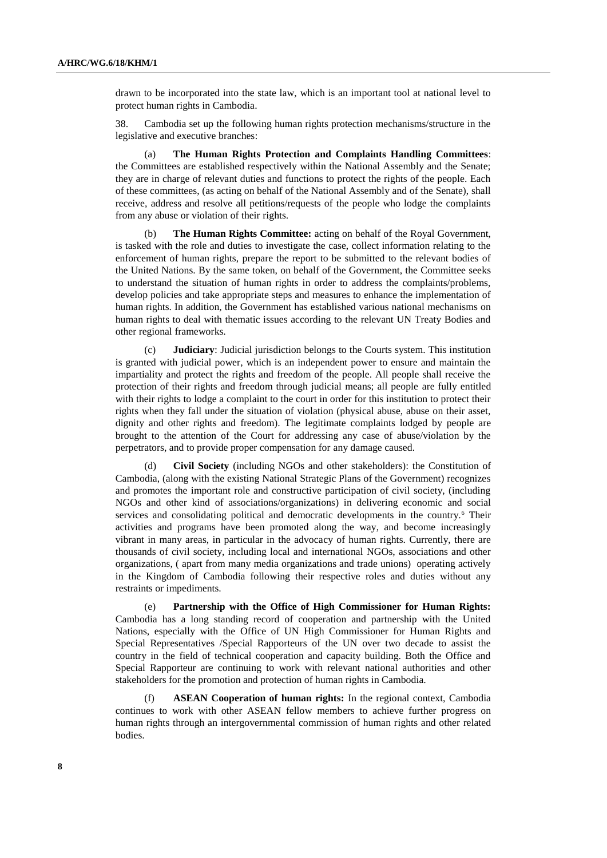drawn to be incorporated into the state law, which is an important tool at national level to protect human rights in Cambodia.

38. Cambodia set up the following human rights protection mechanisms/structure in the legislative and executive branches:

(a) **The Human Rights Protection and Complaints Handling Committees**: the Committees are established respectively within the National Assembly and the Senate; they are in charge of relevant duties and functions to protect the rights of the people. Each of these committees, (as acting on behalf of the National Assembly and of the Senate), shall receive, address and resolve all petitions/requests of the people who lodge the complaints from any abuse or violation of their rights.

(b) **The Human Rights Committee:** acting on behalf of the Royal Government, is tasked with the role and duties to investigate the case, collect information relating to the enforcement of human rights, prepare the report to be submitted to the relevant bodies of the United Nations. By the same token, on behalf of the Government, the Committee seeks to understand the situation of human rights in order to address the complaints/problems, develop policies and take appropriate steps and measures to enhance the implementation of human rights. In addition, the Government has established various national mechanisms on human rights to deal with thematic issues according to the relevant UN Treaty Bodies and other regional frameworks.

(c) **Judiciary**: Judicial jurisdiction belongs to the Courts system. This institution is granted with judicial power, which is an independent power to ensure and maintain the impartiality and protect the rights and freedom of the people. All people shall receive the protection of their rights and freedom through judicial means; all people are fully entitled with their rights to lodge a complaint to the court in order for this institution to protect their rights when they fall under the situation of violation (physical abuse, abuse on their asset, dignity and other rights and freedom). The legitimate complaints lodged by people are brought to the attention of the Court for addressing any case of abuse/violation by the perpetrators, and to provide proper compensation for any damage caused.

(d) **Civil Society** (including NGOs and other stakeholders): the Constitution of Cambodia, (along with the existing National Strategic Plans of the Government) recognizes and promotes the important role and constructive participation of civil society, (including NGOs and other kind of associations/organizations) in delivering economic and social services and consolidating political and democratic developments in the country.<sup>6</sup> Their activities and programs have been promoted along the way, and become increasingly vibrant in many areas, in particular in the advocacy of human rights. Currently, there are thousands of civil society, including local and international NGOs, associations and other organizations, ( apart from many media organizations and trade unions) operating actively in the Kingdom of Cambodia following their respective roles and duties without any restraints or impediments.

(e) **Partnership with the Office of High Commissioner for Human Rights:** Cambodia has a long standing record of cooperation and partnership with the United Nations, especially with the Office of UN High Commissioner for Human Rights and Special Representatives /Special Rapporteurs of the UN over two decade to assist the country in the field of technical cooperation and capacity building. Both the Office and Special Rapporteur are continuing to work with relevant national authorities and other stakeholders for the promotion and protection of human rights in Cambodia.

(f) **ASEAN Cooperation of human rights:** In the regional context, Cambodia continues to work with other ASEAN fellow members to achieve further progress on human rights through an intergovernmental commission of human rights and other related bodies.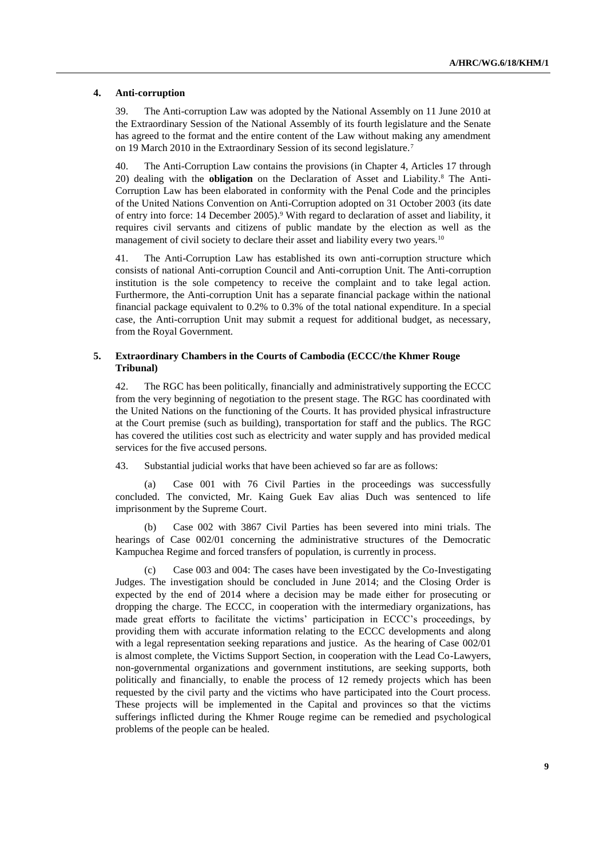### **4. Anti-corruption**

39. The Anti-corruption Law was adopted by the National Assembly on 11 June 2010 at the Extraordinary Session of the National Assembly of its fourth legislature and the Senate has agreed to the format and the entire content of the Law without making any amendment on 19 March 2010 in the Extraordinary Session of its second legislature.<sup>7</sup>

40. The Anti-Corruption Law contains the provisions (in Chapter 4, Articles 17 through 20) dealing with the **obligation** on the Declaration of Asset and Liability. <sup>8</sup> The Anti-Corruption Law has been elaborated in conformity with the Penal Code and the principles of the United Nations Convention on Anti-Corruption adopted on 31 October 2003 (its date of entry into force: 14 December 2005).<sup>9</sup> With regard to declaration of asset and liability, it requires civil servants and citizens of public mandate by the election as well as the management of civil society to declare their asset and liability every two years.<sup>10</sup>

41. The Anti-Corruption Law has established its own anti-corruption structure which consists of national Anti-corruption Council and Anti-corruption Unit. The Anti-corruption institution is the sole competency to receive the complaint and to take legal action. Furthermore, the Anti-corruption Unit has a separate financial package within the national financial package equivalent to 0.2% to 0.3% of the total national expenditure. In a special case, the Anti-corruption Unit may submit a request for additional budget, as necessary, from the Royal Government.

### **5. Extraordinary Chambers in the Courts of Cambodia (ECCC/the Khmer Rouge Tribunal)**

42. The RGC has been politically, financially and administratively supporting the ECCC from the very beginning of negotiation to the present stage. The RGC has coordinated with the United Nations on the functioning of the Courts. It has provided physical infrastructure at the Court premise (such as building), transportation for staff and the publics. The RGC has covered the utilities cost such as electricity and water supply and has provided medical services for the five accused persons.

43. Substantial judicial works that have been achieved so far are as follows:

(a) Case 001 with 76 Civil Parties in the proceedings was successfully concluded. The convicted, Mr. Kaing Guek Eav alias Duch was sentenced to life imprisonment by the Supreme Court.

(b) Case 002 with 3867 Civil Parties has been severed into mini trials. The hearings of Case 002/01 concerning the administrative structures of the Democratic Kampuchea Regime and forced transfers of population, is currently in process.

(c) Case 003 and 004: The cases have been investigated by the Co-Investigating Judges. The investigation should be concluded in June 2014; and the Closing Order is expected by the end of 2014 where a decision may be made either for prosecuting or dropping the charge. The ECCC, in cooperation with the intermediary organizations, has made great efforts to facilitate the victims' participation in ECCC's proceedings, by providing them with accurate information relating to the ECCC developments and along with a legal representation seeking reparations and justice. As the hearing of Case 002/01 is almost complete, the Victims Support Section, in cooperation with the Lead Co-Lawyers, non-governmental organizations and government institutions, are seeking supports, both politically and financially, to enable the process of 12 remedy projects which has been requested by the civil party and the victims who have participated into the Court process. These projects will be implemented in the Capital and provinces so that the victims sufferings inflicted during the Khmer Rouge regime can be remedied and psychological problems of the people can be healed.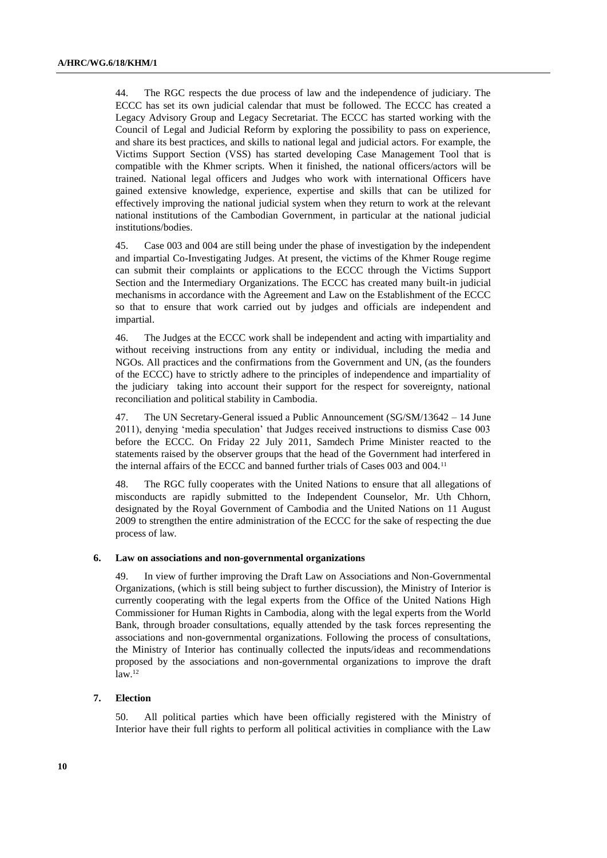44. The RGC respects the due process of law and the independence of judiciary. The ECCC has set its own judicial calendar that must be followed. The ECCC has created a Legacy Advisory Group and Legacy Secretariat. The ECCC has started working with the Council of Legal and Judicial Reform by exploring the possibility to pass on experience, and share its best practices, and skills to national legal and judicial actors. For example, the Victims Support Section (VSS) has started developing Case Management Tool that is compatible with the Khmer scripts. When it finished, the national officers/actors will be trained. National legal officers and Judges who work with international Officers have gained extensive knowledge, experience, expertise and skills that can be utilized for effectively improving the national judicial system when they return to work at the relevant national institutions of the Cambodian Government, in particular at the national judicial institutions/bodies.

45. Case 003 and 004 are still being under the phase of investigation by the independent and impartial Co-Investigating Judges. At present, the victims of the Khmer Rouge regime can submit their complaints or applications to the ECCC through the Victims Support Section and the Intermediary Organizations. The ECCC has created many built-in judicial mechanisms in accordance with the Agreement and Law on the Establishment of the ECCC so that to ensure that work carried out by judges and officials are independent and impartial.

46. The Judges at the ECCC work shall be independent and acting with impartiality and without receiving instructions from any entity or individual, including the media and NGOs. All practices and the confirmations from the Government and UN, (as the founders of the ECCC) have to strictly adhere to the principles of independence and impartiality of the judiciary taking into account their support for the respect for sovereignty, national reconciliation and political stability in Cambodia.

47. The UN Secretary-General issued a Public Announcement (SG/SM/13642 – 14 June 2011), denying 'media speculation' that Judges received instructions to dismiss Case 003 before the ECCC. On Friday 22 July 2011, Samdech Prime Minister reacted to the statements raised by the observer groups that the head of the Government had interfered in the internal affairs of the ECCC and banned further trials of Cases 003 and 004.<sup>11</sup>

48. The RGC fully cooperates with the United Nations to ensure that all allegations of misconducts are rapidly submitted to the Independent Counselor, Mr. Uth Chhorn, designated by the Royal Government of Cambodia and the United Nations on 11 August 2009 to strengthen the entire administration of the ECCC for the sake of respecting the due process of law.

### **6. Law on associations and non-governmental organizations**

49. In view of further improving the Draft Law on Associations and Non-Governmental Organizations, (which is still being subject to further discussion), the Ministry of Interior is currently cooperating with the legal experts from the Office of the United Nations High Commissioner for Human Rights in Cambodia, along with the legal experts from the World Bank, through broader consultations, equally attended by the task forces representing the associations and non-governmental organizations. Following the process of consultations, the Ministry of Interior has continually collected the inputs/ideas and recommendations proposed by the associations and non-governmental organizations to improve the draft  $\rm law.^{12}$ 

### **7. Election**

50. All political parties which have been officially registered with the Ministry of Interior have their full rights to perform all political activities in compliance with the Law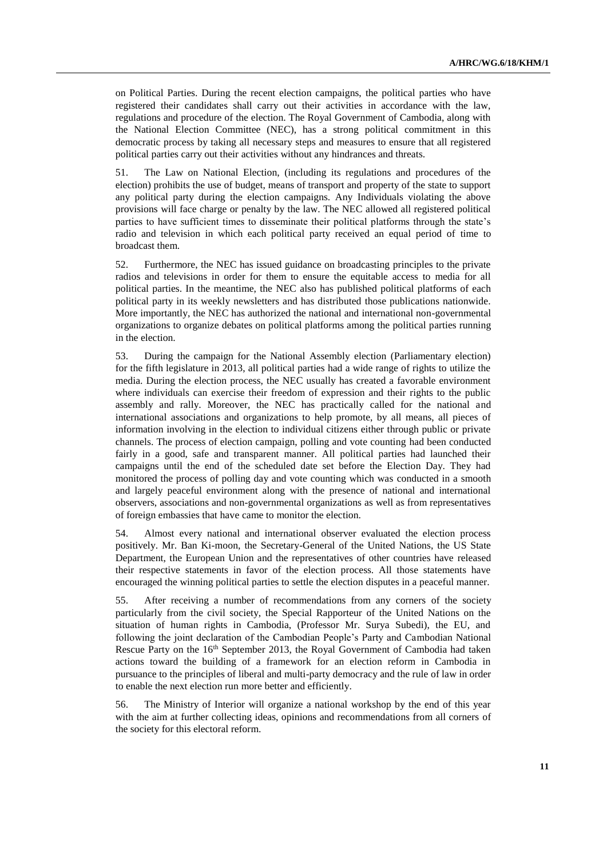on Political Parties. During the recent election campaigns, the political parties who have registered their candidates shall carry out their activities in accordance with the law, regulations and procedure of the election. The Royal Government of Cambodia, along with the National Election Committee (NEC), has a strong political commitment in this democratic process by taking all necessary steps and measures to ensure that all registered political parties carry out their activities without any hindrances and threats.

51. The Law on National Election, (including its regulations and procedures of the election) prohibits the use of budget, means of transport and property of the state to support any political party during the election campaigns. Any Individuals violating the above provisions will face charge or penalty by the law. The NEC allowed all registered political parties to have sufficient times to disseminate their political platforms through the state's radio and television in which each political party received an equal period of time to broadcast them.

52. Furthermore, the NEC has issued guidance on broadcasting principles to the private radios and televisions in order for them to ensure the equitable access to media for all political parties. In the meantime, the NEC also has published political platforms of each political party in its weekly newsletters and has distributed those publications nationwide. More importantly, the NEC has authorized the national and international non-governmental organizations to organize debates on political platforms among the political parties running in the election.

53. During the campaign for the National Assembly election (Parliamentary election) for the fifth legislature in 2013, all political parties had a wide range of rights to utilize the media. During the election process, the NEC usually has created a favorable environment where individuals can exercise their freedom of expression and their rights to the public assembly and rally. Moreover, the NEC has practically called for the national and international associations and organizations to help promote, by all means, all pieces of information involving in the election to individual citizens either through public or private channels. The process of election campaign, polling and vote counting had been conducted fairly in a good, safe and transparent manner. All political parties had launched their campaigns until the end of the scheduled date set before the Election Day. They had monitored the process of polling day and vote counting which was conducted in a smooth and largely peaceful environment along with the presence of national and international observers, associations and non-governmental organizations as well as from representatives of foreign embassies that have came to monitor the election.

54. Almost every national and international observer evaluated the election process positively. Mr. Ban Ki-moon, the Secretary-General of the United Nations, the US State Department, the European Union and the representatives of other countries have released their respective statements in favor of the election process. All those statements have encouraged the winning political parties to settle the election disputes in a peaceful manner.

55. After receiving a number of recommendations from any corners of the society particularly from the civil society, the Special Rapporteur of the United Nations on the situation of human rights in Cambodia, (Professor Mr. Surya Subedi), the EU, and following the joint declaration of the Cambodian People's Party and Cambodian National Rescue Party on the 16<sup>th</sup> September 2013, the Royal Government of Cambodia had taken actions toward the building of a framework for an election reform in Cambodia in pursuance to the principles of liberal and multi-party democracy and the rule of law in order to enable the next election run more better and efficiently.

56. The Ministry of Interior will organize a national workshop by the end of this year with the aim at further collecting ideas, opinions and recommendations from all corners of the society for this electoral reform.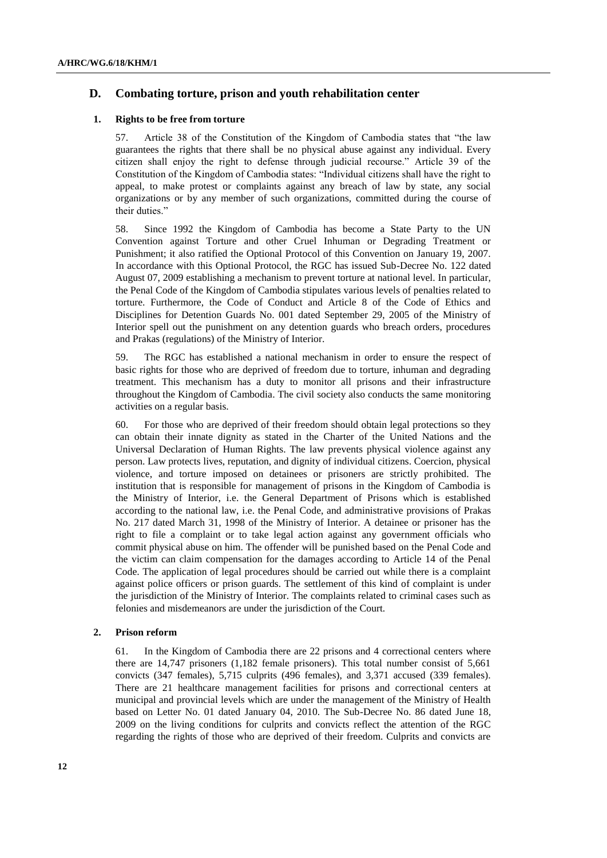### **D. Combating torture, prison and youth rehabilitation center**

### **1. Rights to be free from torture**

57. Article 38 of the Constitution of the Kingdom of Cambodia states that "the law guarantees the rights that there shall be no physical abuse against any individual. Every citizen shall enjoy the right to defense through judicial recourse." Article 39 of the Constitution of the Kingdom of Cambodia states: "Individual citizens shall have the right to appeal, to make protest or complaints against any breach of law by state, any social organizations or by any member of such organizations, committed during the course of their duties."

58. Since 1992 the Kingdom of Cambodia has become a State Party to the UN Convention against Torture and other Cruel Inhuman or Degrading Treatment or Punishment; it also ratified the Optional Protocol of this Convention on January 19, 2007. In accordance with this Optional Protocol, the RGC has issued Sub-Decree No. 122 dated August 07, 2009 establishing a mechanism to prevent torture at national level. In particular, the Penal Code of the Kingdom of Cambodia stipulates various levels of penalties related to torture. Furthermore, the Code of Conduct and Article 8 of the Code of Ethics and Disciplines for Detention Guards No. 001 dated September 29, 2005 of the Ministry of Interior spell out the punishment on any detention guards who breach orders, procedures and Prakas (regulations) of the Ministry of Interior.

59. The RGC has established a national mechanism in order to ensure the respect of basic rights for those who are deprived of freedom due to torture, inhuman and degrading treatment. This mechanism has a duty to monitor all prisons and their infrastructure throughout the Kingdom of Cambodia. The civil society also conducts the same monitoring activities on a regular basis.

60. For those who are deprived of their freedom should obtain legal protections so they can obtain their innate dignity as stated in the Charter of the United Nations and the Universal Declaration of Human Rights. The law prevents physical violence against any person. Law protects lives, reputation, and dignity of individual citizens. Coercion, physical violence, and torture imposed on detainees or prisoners are strictly prohibited. The institution that is responsible for management of prisons in the Kingdom of Cambodia is the Ministry of Interior, i.e. the General Department of Prisons which is established according to the national law, i.e. the Penal Code, and administrative provisions of Prakas No. 217 dated March 31, 1998 of the Ministry of Interior. A detainee or prisoner has the right to file a complaint or to take legal action against any government officials who commit physical abuse on him. The offender will be punished based on the Penal Code and the victim can claim compensation for the damages according to Article 14 of the Penal Code. The application of legal procedures should be carried out while there is a complaint against police officers or prison guards. The settlement of this kind of complaint is under the jurisdiction of the Ministry of Interior. The complaints related to criminal cases such as felonies and misdemeanors are under the jurisdiction of the Court.

### **2. Prison reform**

61. In the Kingdom of Cambodia there are 22 prisons and 4 correctional centers where there are 14,747 prisoners (1,182 female prisoners). This total number consist of 5,661 convicts (347 females), 5,715 culprits (496 females), and 3,371 accused (339 females). There are 21 healthcare management facilities for prisons and correctional centers at municipal and provincial levels which are under the management of the Ministry of Health based on Letter No. 01 dated January 04, 2010. The Sub-Decree No. 86 dated June 18, 2009 on the living conditions for culprits and convicts reflect the attention of the RGC regarding the rights of those who are deprived of their freedom. Culprits and convicts are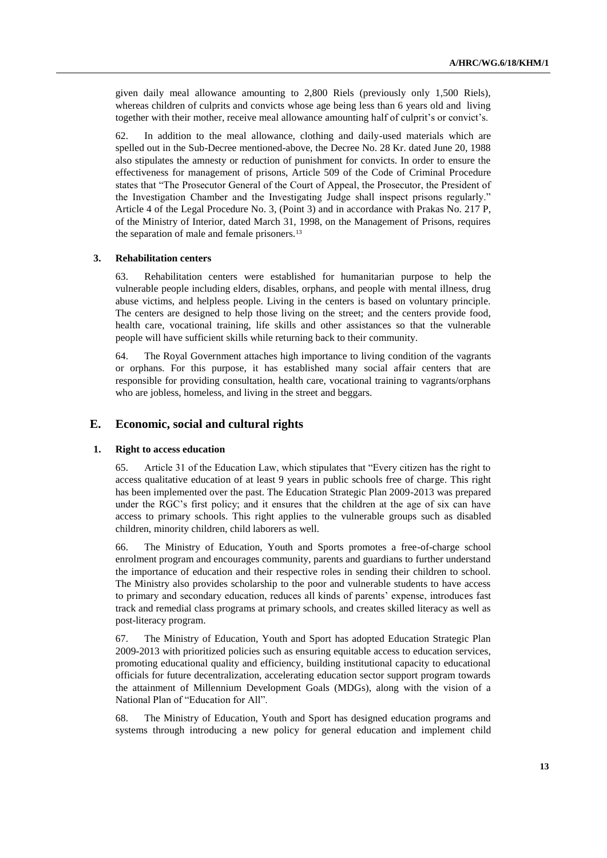given daily meal allowance amounting to 2,800 Riels (previously only 1,500 Riels), whereas children of culprits and convicts whose age being less than 6 years old and living together with their mother, receive meal allowance amounting half of culprit's or convict's.

62. In addition to the meal allowance, clothing and daily-used materials which are spelled out in the Sub-Decree mentioned-above, the Decree No. 28 Kr. dated June 20, 1988 also stipulates the amnesty or reduction of punishment for convicts. In order to ensure the effectiveness for management of prisons, Article 509 of the Code of Criminal Procedure states that "The Prosecutor General of the Court of Appeal, the Prosecutor, the President of the Investigation Chamber and the Investigating Judge shall inspect prisons regularly." Article 4 of the Legal Procedure No. 3, (Point 3) and in accordance with Prakas No. 217 P, of the Ministry of Interior, dated March 31, 1998, on the Management of Prisons, requires the separation of male and female prisoners.<sup>13</sup>

#### **3. Rehabilitation centers**

63. Rehabilitation centers were established for humanitarian purpose to help the vulnerable people including elders, disables, orphans, and people with mental illness, drug abuse victims, and helpless people. Living in the centers is based on voluntary principle. The centers are designed to help those living on the street; and the centers provide food, health care, vocational training, life skills and other assistances so that the vulnerable people will have sufficient skills while returning back to their community.

64. The Royal Government attaches high importance to living condition of the vagrants or orphans. For this purpose, it has established many social affair centers that are responsible for providing consultation, health care, vocational training to vagrants/orphans who are jobless, homeless, and living in the street and beggars.

### **E. Economic, social and cultural rights**

#### **1. Right to access education**

65. Article 31 of the Education Law, which stipulates that "Every citizen has the right to access qualitative education of at least 9 years in public schools free of charge. This right has been implemented over the past. The Education Strategic Plan 2009-2013 was prepared under the RGC's first policy; and it ensures that the children at the age of six can have access to primary schools. This right applies to the vulnerable groups such as disabled children, minority children, child laborers as well.

66. The Ministry of Education, Youth and Sports promotes a free-of-charge school enrolment program and encourages community, parents and guardians to further understand the importance of education and their respective roles in sending their children to school. The Ministry also provides scholarship to the poor and vulnerable students to have access to primary and secondary education, reduces all kinds of parents' expense, introduces fast track and remedial class programs at primary schools, and creates skilled literacy as well as post-literacy program.

67. The Ministry of Education, Youth and Sport has adopted Education Strategic Plan 2009-2013 with prioritized policies such as ensuring equitable access to education services, promoting educational quality and efficiency, building institutional capacity to educational officials for future decentralization, accelerating education sector support program towards the attainment of Millennium Development Goals (MDGs), along with the vision of a National Plan of "Education for All".

68. The Ministry of Education, Youth and Sport has designed education programs and systems through introducing a new policy for general education and implement child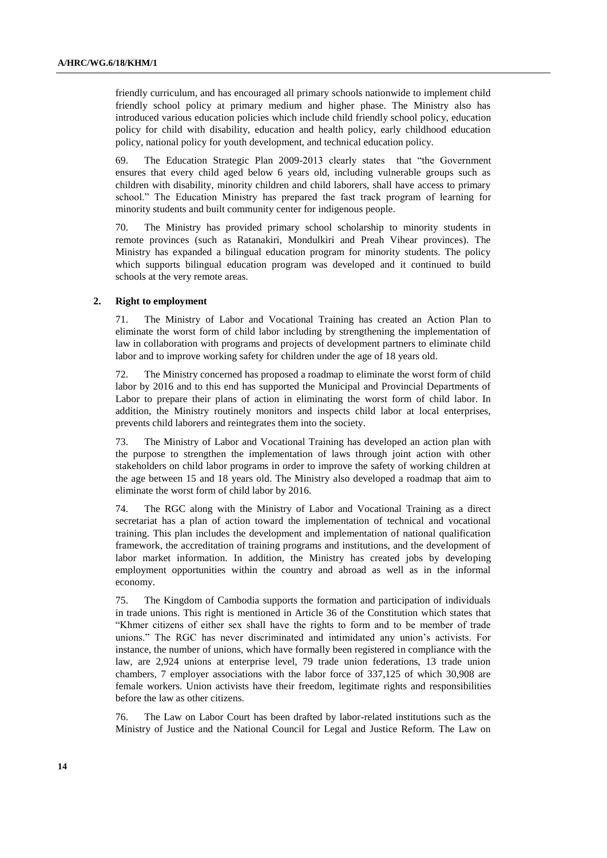friendly curriculum, and has encouraged all primary schools nationwide to implement child friendly school policy at primary medium and higher phase. The Ministry also has introduced various education policies which include child friendly school policy, education policy for child with disability, education and health policy, early childhood education policy, national policy for youth development, and technical education policy.

69. The Education Strategic Plan 2009-2013 clearly states that "the Government ensures that every child aged below 6 years old, including vulnerable groups such as children with disability, minority children and child laborers, shall have access to primary school." The Education Ministry has prepared the fast track program of learning for minority students and built community center for indigenous people.

70. The Ministry has provided primary school scholarship to minority students in remote provinces (such as Ratanakiri, Mondulkiri and Preah Vihear provinces). The Ministry has expanded a bilingual education program for minority students. The policy which supports bilingual education program was developed and it continued to build schools at the very remote areas.

### **2. Right to employment**

71. The Ministry of Labor and Vocational Training has created an Action Plan to eliminate the worst form of child labor including by strengthening the implementation of law in collaboration with programs and projects of development partners to eliminate child labor and to improve working safety for children under the age of 18 years old.

72. The Ministry concerned has proposed a roadmap to eliminate the worst form of child labor by 2016 and to this end has supported the Municipal and Provincial Departments of Labor to prepare their plans of action in eliminating the worst form of child labor. In addition, the Ministry routinely monitors and inspects child labor at local enterprises, prevents child laborers and reintegrates them into the society.

73. The Ministry of Labor and Vocational Training has developed an action plan with the purpose to strengthen the implementation of laws through joint action with other stakeholders on child labor programs in order to improve the safety of working children at the age between 15 and 18 years old. The Ministry also developed a roadmap that aim to eliminate the worst form of child labor by 2016.

74. The RGC along with the Ministry of Labor and Vocational Training as a direct secretariat has a plan of action toward the implementation of technical and vocational training. This plan includes the development and implementation of national qualification framework, the accreditation of training programs and institutions, and the development of labor market information. In addition, the Ministry has created jobs by developing employment opportunities within the country and abroad as well as in the informal economy.

75. The Kingdom of Cambodia supports the formation and participation of individuals in trade unions. This right is mentioned in Article 36 of the Constitution which states that "Khmer citizens of either sex shall have the rights to form and to be member of trade unions." The RGC has never discriminated and intimidated any union's activists. For instance, the number of unions, which have formally been registered in compliance with the law, are 2,924 unions at enterprise level, 79 trade union federations, 13 trade union chambers, 7 employer associations with the labor force of 337,125 of which 30,908 are female workers. Union activists have their freedom, legitimate rights and responsibilities before the law as other citizens.

76. The Law on Labor Court has been drafted by labor-related institutions such as the Ministry of Justice and the National Council for Legal and Justice Reform. The Law on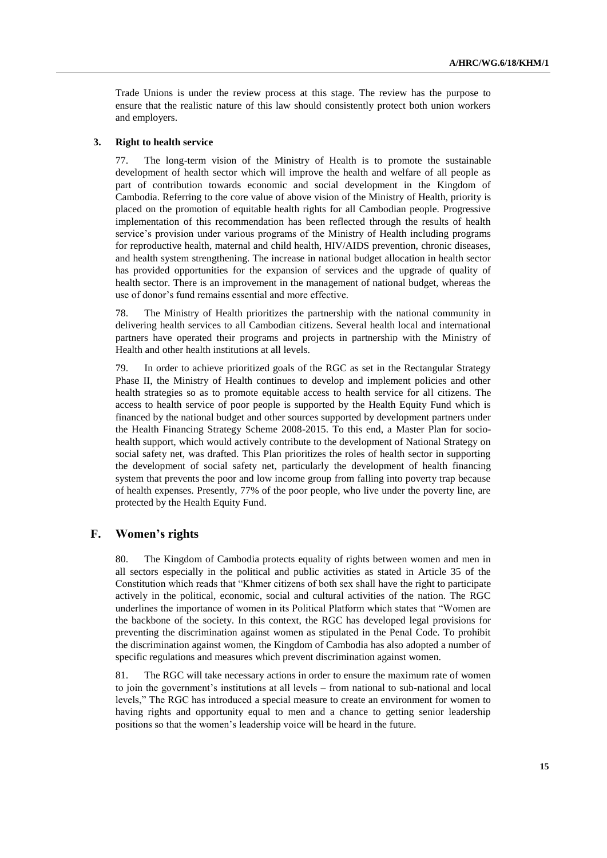Trade Unions is under the review process at this stage. The review has the purpose to ensure that the realistic nature of this law should consistently protect both union workers and employers.

### **3. Right to health service**

77. The long-term vision of the Ministry of Health is to promote the sustainable development of health sector which will improve the health and welfare of all people as part of contribution towards economic and social development in the Kingdom of Cambodia. Referring to the core value of above vision of the Ministry of Health, priority is placed on the promotion of equitable health rights for all Cambodian people. Progressive implementation of this recommendation has been reflected through the results of health service's provision under various programs of the Ministry of Health including programs for reproductive health, maternal and child health, HIV/AIDS prevention, chronic diseases, and health system strengthening. The increase in national budget allocation in health sector has provided opportunities for the expansion of services and the upgrade of quality of health sector. There is an improvement in the management of national budget, whereas the use of donor's fund remains essential and more effective.

78. The Ministry of Health prioritizes the partnership with the national community in delivering health services to all Cambodian citizens. Several health local and international partners have operated their programs and projects in partnership with the Ministry of Health and other health institutions at all levels.

79. In order to achieve prioritized goals of the RGC as set in the Rectangular Strategy Phase II, the Ministry of Health continues to develop and implement policies and other health strategies so as to promote equitable access to health service for all citizens. The access to health service of poor people is supported by the Health Equity Fund which is financed by the national budget and other sources supported by development partners under the Health Financing Strategy Scheme 2008-2015. To this end, a Master Plan for sociohealth support, which would actively contribute to the development of National Strategy on social safety net, was drafted. This Plan prioritizes the roles of health sector in supporting the development of social safety net, particularly the development of health financing system that prevents the poor and low income group from falling into poverty trap because of health expenses. Presently, 77% of the poor people, who live under the poverty line, are protected by the Health Equity Fund.

### **F. Women's rights**

80. The Kingdom of Cambodia protects equality of rights between women and men in all sectors especially in the political and public activities as stated in Article 35 of the Constitution which reads that "Khmer citizens of both sex shall have the right to participate actively in the political, economic, social and cultural activities of the nation. The RGC underlines the importance of women in its Political Platform which states that "Women are the backbone of the society. In this context, the RGC has developed legal provisions for preventing the discrimination against women as stipulated in the Penal Code. To prohibit the discrimination against women, the Kingdom of Cambodia has also adopted a number of specific regulations and measures which prevent discrimination against women.

81. The RGC will take necessary actions in order to ensure the maximum rate of women to join the government's institutions at all levels – from national to sub-national and local levels," The RGC has introduced a special measure to create an environment for women to having rights and opportunity equal to men and a chance to getting senior leadership positions so that the women's leadership voice will be heard in the future.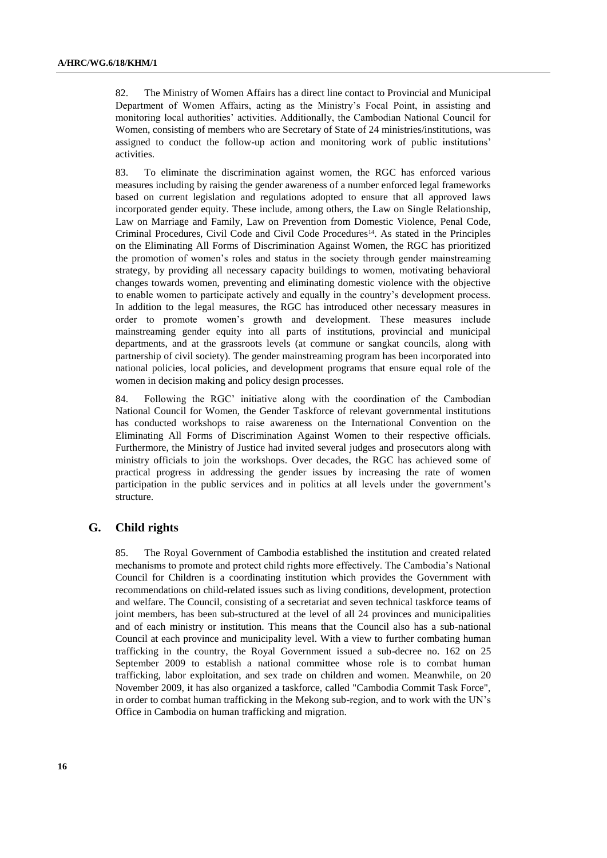82. The Ministry of Women Affairs has a direct line contact to Provincial and Municipal Department of Women Affairs, acting as the Ministry's Focal Point, in assisting and monitoring local authorities' activities. Additionally, the Cambodian National Council for Women, consisting of members who are Secretary of State of 24 ministries/institutions, was assigned to conduct the follow-up action and monitoring work of public institutions' activities.

83. To eliminate the discrimination against women, the RGC has enforced various measures including by raising the gender awareness of a number enforced legal frameworks based on current legislation and regulations adopted to ensure that all approved laws incorporated gender equity. These include, among others, the Law on Single Relationship, Law on Marriage and Family, Law on Prevention from Domestic Violence, Penal Code, Criminal Procedures, Civil Code and Civil Code Procedures<sup>14</sup>. As stated in the Principles on the Eliminating All Forms of Discrimination Against Women, the RGC has prioritized the promotion of women's roles and status in the society through gender mainstreaming strategy, by providing all necessary capacity buildings to women, motivating behavioral changes towards women, preventing and eliminating domestic violence with the objective to enable women to participate actively and equally in the country's development process. In addition to the legal measures, the RGC has introduced other necessary measures in order to promote women's growth and development. These measures include mainstreaming gender equity into all parts of institutions, provincial and municipal departments, and at the grassroots levels (at commune or sangkat councils, along with partnership of civil society). The gender mainstreaming program has been incorporated into national policies, local policies, and development programs that ensure equal role of the women in decision making and policy design processes.

84. Following the RGC' initiative along with the coordination of the Cambodian National Council for Women, the Gender Taskforce of relevant governmental institutions has conducted workshops to raise awareness on the International Convention on the Eliminating All Forms of Discrimination Against Women to their respective officials. Furthermore, the Ministry of Justice had invited several judges and prosecutors along with ministry officials to join the workshops. Over decades, the RGC has achieved some of practical progress in addressing the gender issues by increasing the rate of women participation in the public services and in politics at all levels under the government's structure.

### **G. Child rights**

85. The Royal Government of Cambodia established the institution and created related mechanisms to promote and protect child rights more effectively. The Cambodia's National Council for Children is a coordinating institution which provides the Government with recommendations on child-related issues such as living conditions, development, protection and welfare. The Council, consisting of a secretariat and seven technical taskforce teams of joint members, has been sub-structured at the level of all 24 provinces and municipalities and of each ministry or institution. This means that the Council also has a sub-national Council at each province and municipality level. With a view to further combating human trafficking in the country, the Royal Government issued a sub-decree no. 162 on 25 September 2009 to establish a national committee whose role is to combat human trafficking, labor exploitation, and sex trade on children and women. Meanwhile, on 20 November 2009, it has also organized a taskforce, called "Cambodia Commit Task Force", in order to combat human trafficking in the Mekong sub-region, and to work with the UN's Office in Cambodia on human trafficking and migration.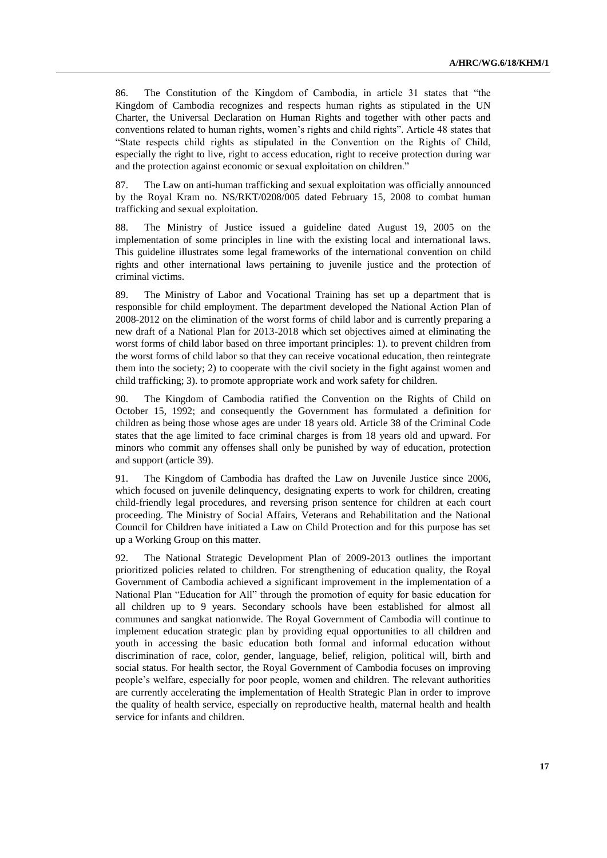86. The Constitution of the Kingdom of Cambodia, in article 31 states that "the Kingdom of Cambodia recognizes and respects human rights as stipulated in the UN Charter, the Universal Declaration on Human Rights and together with other pacts and conventions related to human rights, women's rights and child rights". Article 48 states that "State respects child rights as stipulated in the Convention on the Rights of Child, especially the right to live, right to access education, right to receive protection during war and the protection against economic or sexual exploitation on children."

87. The Law on anti-human trafficking and sexual exploitation was officially announced by the Royal Kram no. NS/RKT/0208/005 dated February 15, 2008 to combat human trafficking and sexual exploitation.

88. The Ministry of Justice issued a guideline dated August 19, 2005 on the implementation of some principles in line with the existing local and international laws. This guideline illustrates some legal frameworks of the international convention on child rights and other international laws pertaining to juvenile justice and the protection of criminal victims.

89. The Ministry of Labor and Vocational Training has set up a department that is responsible for child employment. The department developed the National Action Plan of 2008-2012 on the elimination of the worst forms of child labor and is currently preparing a new draft of a National Plan for 2013-2018 which set objectives aimed at eliminating the worst forms of child labor based on three important principles: 1). to prevent children from the worst forms of child labor so that they can receive vocational education, then reintegrate them into the society; 2) to cooperate with the civil society in the fight against women and child trafficking; 3). to promote appropriate work and work safety for children.

90. The Kingdom of Cambodia ratified the Convention on the Rights of Child on October 15, 1992; and consequently the Government has formulated a definition for children as being those whose ages are under 18 years old. Article 38 of the Criminal Code states that the age limited to face criminal charges is from 18 years old and upward. For minors who commit any offenses shall only be punished by way of education, protection and support (article 39).

91. The Kingdom of Cambodia has drafted the Law on Juvenile Justice since 2006, which focused on juvenile delinquency, designating experts to work for children, creating child-friendly legal procedures, and reversing prison sentence for children at each court proceeding. The Ministry of Social Affairs, Veterans and Rehabilitation and the National Council for Children have initiated a Law on Child Protection and for this purpose has set up a Working Group on this matter.

92. The National Strategic Development Plan of 2009-2013 outlines the important prioritized policies related to children. For strengthening of education quality, the Royal Government of Cambodia achieved a significant improvement in the implementation of a National Plan "Education for All" through the promotion of equity for basic education for all children up to 9 years. Secondary schools have been established for almost all communes and sangkat nationwide. The Royal Government of Cambodia will continue to implement education strategic plan by providing equal opportunities to all children and youth in accessing the basic education both formal and informal education without discrimination of race, color, gender, language, belief, religion, political will, birth and social status. For health sector, the Royal Government of Cambodia focuses on improving people's welfare, especially for poor people, women and children. The relevant authorities are currently accelerating the implementation of Health Strategic Plan in order to improve the quality of health service, especially on reproductive health, maternal health and health service for infants and children.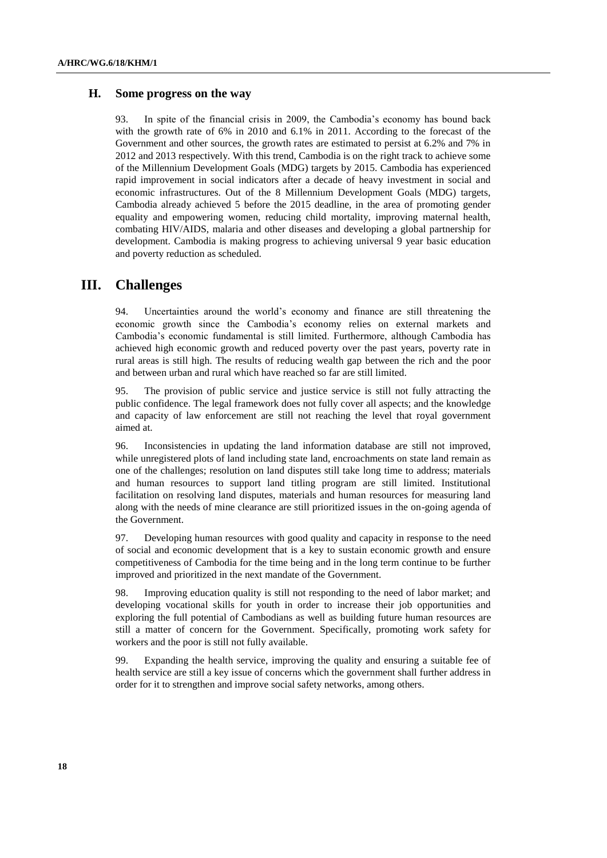### **H. Some progress on the way**

93. In spite of the financial crisis in 2009, the Cambodia's economy has bound back with the growth rate of 6% in 2010 and 6.1% in 2011. According to the forecast of the Government and other sources, the growth rates are estimated to persist at 6.2% and 7% in 2012 and 2013 respectively. With this trend, Cambodia is on the right track to achieve some of the Millennium Development Goals (MDG) targets by 2015. Cambodia has experienced rapid improvement in social indicators after a decade of heavy investment in social and economic infrastructures. Out of the 8 Millennium Development Goals (MDG) targets, Cambodia already achieved 5 before the 2015 deadline, in the area of promoting gender equality and empowering women, reducing child mortality, improving maternal health, combating HIV/AIDS, malaria and other diseases and developing a global partnership for development. Cambodia is making progress to achieving universal 9 year basic education and poverty reduction as scheduled.

# **III. Challenges**

94. Uncertainties around the world's economy and finance are still threatening the economic growth since the Cambodia's economy relies on external markets and Cambodia's economic fundamental is still limited. Furthermore, although Cambodia has achieved high economic growth and reduced poverty over the past years, poverty rate in rural areas is still high. The results of reducing wealth gap between the rich and the poor and between urban and rural which have reached so far are still limited.

95. The provision of public service and justice service is still not fully attracting the public confidence. The legal framework does not fully cover all aspects; and the knowledge and capacity of law enforcement are still not reaching the level that royal government aimed at.

96. Inconsistencies in updating the land information database are still not improved, while unregistered plots of land including state land, encroachments on state land remain as one of the challenges; resolution on land disputes still take long time to address; materials and human resources to support land titling program are still limited. Institutional facilitation on resolving land disputes, materials and human resources for measuring land along with the needs of mine clearance are still prioritized issues in the on-going agenda of the Government.

97. Developing human resources with good quality and capacity in response to the need of social and economic development that is a key to sustain economic growth and ensure competitiveness of Cambodia for the time being and in the long term continue to be further improved and prioritized in the next mandate of the Government.

98. Improving education quality is still not responding to the need of labor market; and developing vocational skills for youth in order to increase their job opportunities and exploring the full potential of Cambodians as well as building future human resources are still a matter of concern for the Government. Specifically, promoting work safety for workers and the poor is still not fully available.

99. Expanding the health service, improving the quality and ensuring a suitable fee of health service are still a key issue of concerns which the government shall further address in order for it to strengthen and improve social safety networks, among others.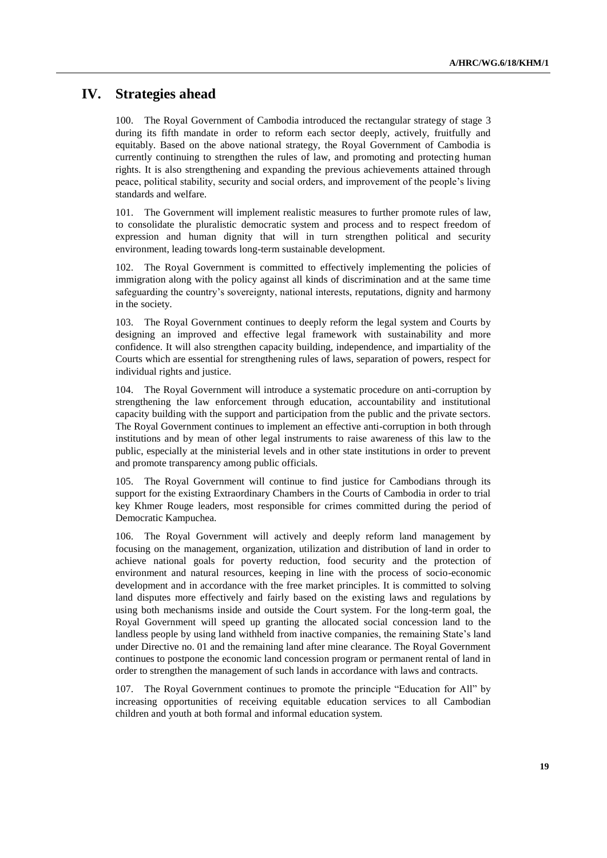# **IV. Strategies ahead**

100. The Royal Government of Cambodia introduced the rectangular strategy of stage 3 during its fifth mandate in order to reform each sector deeply, actively, fruitfully and equitably. Based on the above national strategy, the Royal Government of Cambodia is currently continuing to strengthen the rules of law, and promoting and protecting human rights. It is also strengthening and expanding the previous achievements attained through peace, political stability, security and social orders, and improvement of the people's living standards and welfare.

101. The Government will implement realistic measures to further promote rules of law, to consolidate the pluralistic democratic system and process and to respect freedom of expression and human dignity that will in turn strengthen political and security environment, leading towards long-term sustainable development.

102. The Royal Government is committed to effectively implementing the policies of immigration along with the policy against all kinds of discrimination and at the same time safeguarding the country's sovereignty, national interests, reputations, dignity and harmony in the society.

103. The Royal Government continues to deeply reform the legal system and Courts by designing an improved and effective legal framework with sustainability and more confidence. It will also strengthen capacity building, independence, and impartiality of the Courts which are essential for strengthening rules of laws, separation of powers, respect for individual rights and justice.

104. The Royal Government will introduce a systematic procedure on anti-corruption by strengthening the law enforcement through education, accountability and institutional capacity building with the support and participation from the public and the private sectors. The Royal Government continues to implement an effective anti-corruption in both through institutions and by mean of other legal instruments to raise awareness of this law to the public, especially at the ministerial levels and in other state institutions in order to prevent and promote transparency among public officials.

105. The Royal Government will continue to find justice for Cambodians through its support for the existing Extraordinary Chambers in the Courts of Cambodia in order to trial key Khmer Rouge leaders, most responsible for crimes committed during the period of Democratic Kampuchea.

106. The Royal Government will actively and deeply reform land management by focusing on the management, organization, utilization and distribution of land in order to achieve national goals for poverty reduction, food security and the protection of environment and natural resources, keeping in line with the process of socio-economic development and in accordance with the free market principles. It is committed to solving land disputes more effectively and fairly based on the existing laws and regulations by using both mechanisms inside and outside the Court system. For the long-term goal, the Royal Government will speed up granting the allocated social concession land to the landless people by using land withheld from inactive companies, the remaining State's land under Directive no. 01 and the remaining land after mine clearance. The Royal Government continues to postpone the economic land concession program or permanent rental of land in order to strengthen the management of such lands in accordance with laws and contracts.

107. The Royal Government continues to promote the principle "Education for All" by increasing opportunities of receiving equitable education services to all Cambodian children and youth at both formal and informal education system.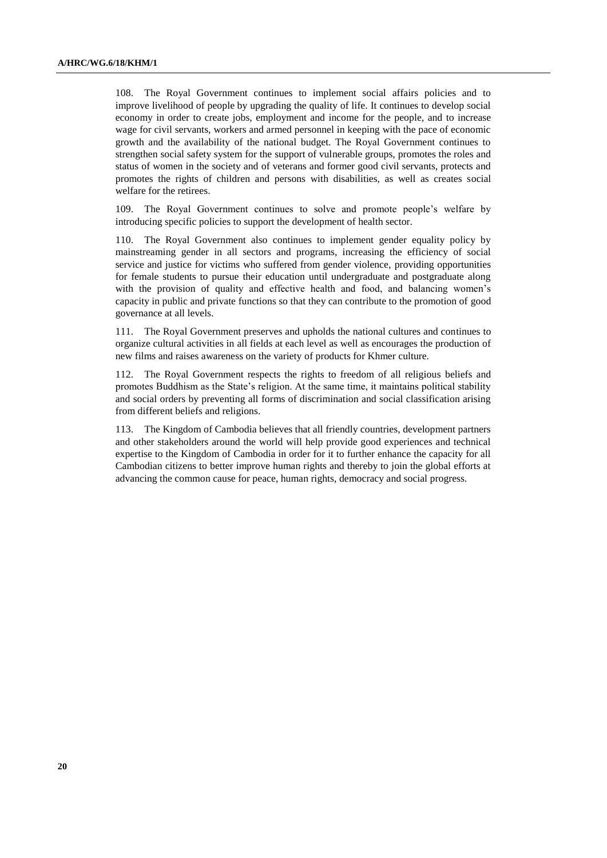108. The Royal Government continues to implement social affairs policies and to improve livelihood of people by upgrading the quality of life. It continues to develop social economy in order to create jobs, employment and income for the people, and to increase wage for civil servants, workers and armed personnel in keeping with the pace of economic growth and the availability of the national budget. The Royal Government continues to strengthen social safety system for the support of vulnerable groups, promotes the roles and status of women in the society and of veterans and former good civil servants, protects and promotes the rights of children and persons with disabilities, as well as creates social welfare for the retirees.

109. The Royal Government continues to solve and promote people's welfare by introducing specific policies to support the development of health sector.

110. The Royal Government also continues to implement gender equality policy by mainstreaming gender in all sectors and programs, increasing the efficiency of social service and justice for victims who suffered from gender violence, providing opportunities for female students to pursue their education until undergraduate and postgraduate along with the provision of quality and effective health and food, and balancing women's capacity in public and private functions so that they can contribute to the promotion of good governance at all levels.

111. The Royal Government preserves and upholds the national cultures and continues to organize cultural activities in all fields at each level as well as encourages the production of new films and raises awareness on the variety of products for Khmer culture.

112. The Royal Government respects the rights to freedom of all religious beliefs and promotes Buddhism as the State's religion. At the same time, it maintains political stability and social orders by preventing all forms of discrimination and social classification arising from different beliefs and religions.

113. The Kingdom of Cambodia believes that all friendly countries, development partners and other stakeholders around the world will help provide good experiences and technical expertise to the Kingdom of Cambodia in order for it to further enhance the capacity for all Cambodian citizens to better improve human rights and thereby to join the global efforts at advancing the common cause for peace, human rights, democracy and social progress.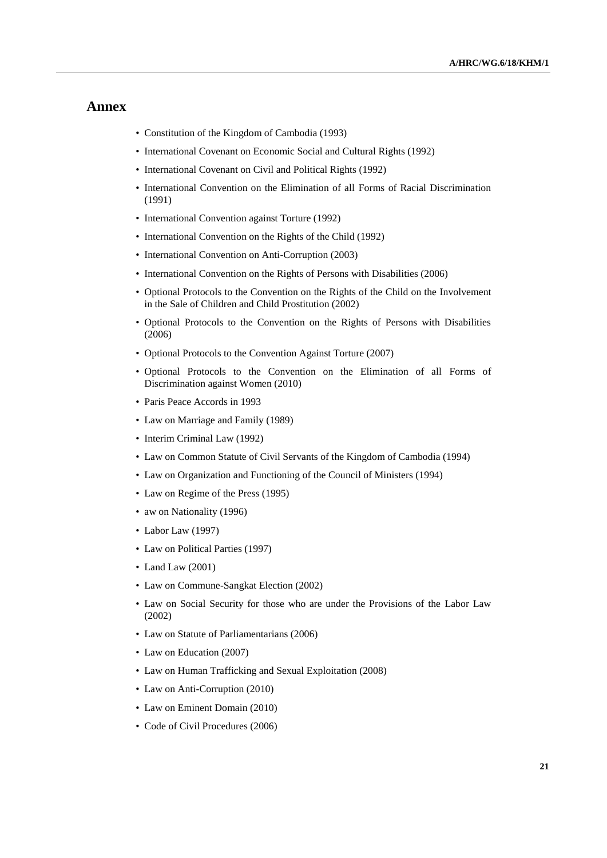# **Annex**

- Constitution of the Kingdom of Cambodia (1993)
- International Covenant on Economic Social and Cultural Rights (1992)
- International Covenant on Civil and Political Rights (1992)
- International Convention on the Elimination of all Forms of Racial Discrimination (1991)
- International Convention against Torture (1992)
- International Convention on the Rights of the Child (1992)
- International Convention on Anti-Corruption (2003)
- International Convention on the Rights of Persons with Disabilities (2006)
- Optional Protocols to the Convention on the Rights of the Child on the Involvement in the Sale of Children and Child Prostitution (2002)
- Optional Protocols to the Convention on the Rights of Persons with Disabilities (2006)
- Optional Protocols to the Convention Against Torture (2007)
- Optional Protocols to the Convention on the Elimination of all Forms of Discrimination against Women (2010)
- Paris Peace Accords in 1993
- Law on Marriage and Family (1989)
- Interim Criminal Law (1992)
- Law on Common Statute of Civil Servants of the Kingdom of Cambodia (1994)
- Law on Organization and Functioning of the Council of Ministers (1994)
- Law on Regime of the Press (1995)
- aw on Nationality (1996)
- Labor Law (1997)
- Law on Political Parties (1997)
- Land Law (2001)
- Law on Commune-Sangkat Election (2002)
- Law on Social Security for those who are under the Provisions of the Labor Law (2002)
- Law on Statute of Parliamentarians (2006)
- Law on Education (2007)
- Law on Human Trafficking and Sexual Exploitation (2008)
- Law on Anti-Corruption (2010)
- Law on Eminent Domain (2010)
- Code of Civil Procedures (2006)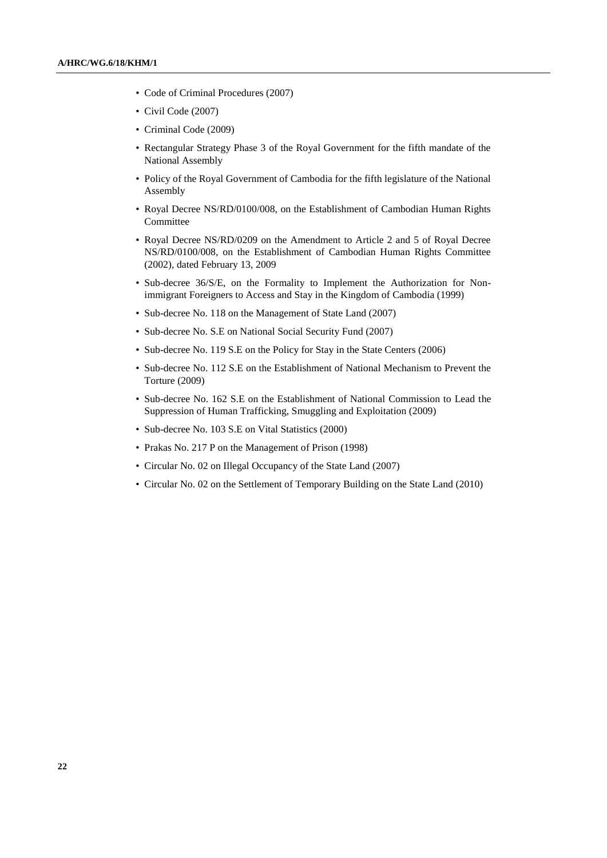- Code of Criminal Procedures (2007)
- Civil Code (2007)
- Criminal Code (2009)
- Rectangular Strategy Phase 3 of the Royal Government for the fifth mandate of the National Assembly
- Policy of the Royal Government of Cambodia for the fifth legislature of the National Assembly
- Royal Decree NS/RD/0100/008, on the Establishment of Cambodian Human Rights Committee
- Royal Decree NS/RD/0209 on the Amendment to Article 2 and 5 of Royal Decree NS/RD/0100/008, on the Establishment of Cambodian Human Rights Committee (2002), dated February 13, 2009
- Sub-decree 36/S/E, on the Formality to Implement the Authorization for Nonimmigrant Foreigners to Access and Stay in the Kingdom of Cambodia (1999)
- Sub-decree No. 118 on the Management of State Land (2007)
- Sub-decree No. S.E on National Social Security Fund (2007)
- Sub-decree No. 119 S.E on the Policy for Stay in the State Centers (2006)
- Sub-decree No. 112 S.E on the Establishment of National Mechanism to Prevent the Torture (2009)
- Sub-decree No. 162 S.E on the Establishment of National Commission to Lead the Suppression of Human Trafficking, Smuggling and Exploitation (2009)
- Sub-decree No. 103 S.E on Vital Statistics (2000)
- Prakas No. 217 P on the Management of Prison (1998)
- Circular No. 02 on Illegal Occupancy of the State Land (2007)
- Circular No. 02 on the Settlement of Temporary Building on the State Land (2010)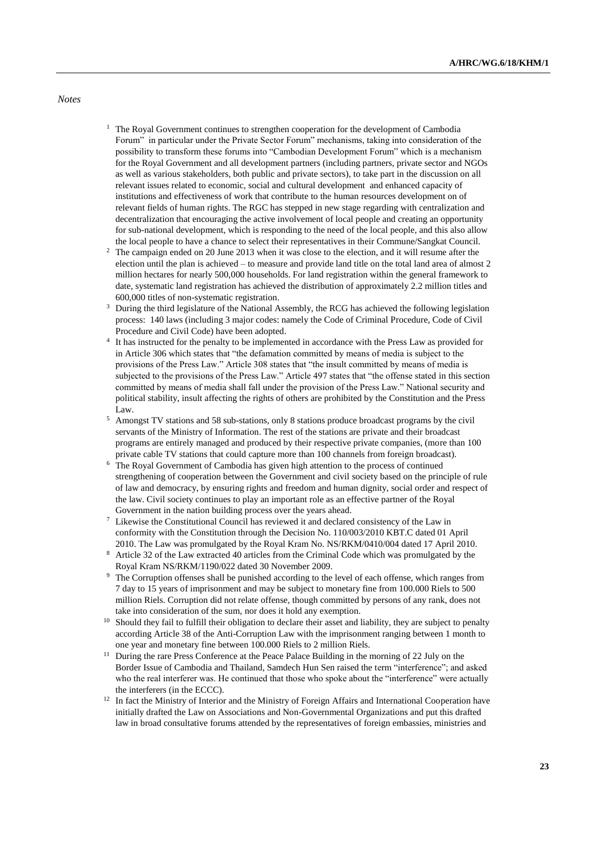#### *Notes*

- $1$  The Royal Government continues to strengthen cooperation for the development of Cambodia Forum" in particular under the Private Sector Forum" mechanisms, taking into consideration of the possibility to transform these forums into "Cambodian Development Forum" which is a mechanism for the Royal Government and all development partners (including partners, private sector and NGOs as well as various stakeholders, both public and private sectors), to take part in the discussion on all relevant issues related to economic, social and cultural development and enhanced capacity of institutions and effectiveness of work that contribute to the human resources development on of relevant fields of human rights. The RGC has stepped in new stage regarding with centralization and decentralization that encouraging the active involvement of local people and creating an opportunity for sub-national development, which is responding to the need of the local people, and this also allow the local people to have a chance to select their representatives in their Commune/Sangkat Council.
- <sup>2</sup> The campaign ended on 20 June 2013 when it was close to the election, and it will resume after the election until the plan is achieved – to measure and provide land title on the total land area of almost 2 million hectares for nearly 500,000 households. For land registration within the general framework to date, systematic land registration has achieved the distribution of approximately 2.2 million titles and 600,000 titles of non-systematic registration.
- <sup>3</sup> During the third legislature of the National Assembly, the RCG has achieved the following legislation process: 140 laws (including 3 major codes: namely the Code of Criminal Procedure, Code of Civil Procedure and Civil Code) have been adopted.
- 4 It has instructed for the penalty to be implemented in accordance with the Press Law as provided for in Article 306 which states that "the defamation committed by means of media is subject to the provisions of the Press Law." Article 308 states that "the insult committed by means of media is subjected to the provisions of the Press Law." Article 497 states that "the offense stated in this section committed by means of media shall fall under the provision of the Press Law." National security and political stability, insult affecting the rights of others are prohibited by the Constitution and the Press Law.
- <sup>5</sup> Amongst TV stations and 58 sub-stations, only 8 stations produce broadcast programs by the civil servants of the Ministry of Information. The rest of the stations are private and their broadcast programs are entirely managed and produced by their respective private companies, (more than 100 private cable TV stations that could capture more than 100 channels from foreign broadcast).
- <sup>6</sup> The Royal Government of Cambodia has given high attention to the process of continued strengthening of cooperation between the Government and civil society based on the principle of rule of law and democracy, by ensuring rights and freedom and human dignity, social order and respect of the law. Civil society continues to play an important role as an effective partner of the Royal Government in the nation building process over the years ahead.
- Likewise the Constitutional Council has reviewed it and declared consistency of the Law in conformity with the Constitution through the Decision No. 110/003/2010 KBT.C dated 01 April 2010. The Law was promulgated by the Royal Kram No. NS/RKM/0410/004 dated 17 April 2010.
- <sup>8</sup> Article 32 of the Law extracted 40 articles from the Criminal Code which was promulgated by the Royal Kram NS/RKM/1190/022 dated 30 November 2009.
- <sup>9</sup> The Corruption offenses shall be punished according to the level of each offense, which ranges from 7 day to 15 years of imprisonment and may be subject to monetary fine from 100.000 Riels to 500 million Riels. Corruption did not relate offense, though committed by persons of any rank, does not take into consideration of the sum, nor does it hold any exemption.
- <sup>10</sup> Should they fail to fulfill their obligation to declare their asset and liability, they are subject to penalty according Article 38 of the Anti-Corruption Law with the imprisonment ranging between 1 month to one year and monetary fine between 100.000 Riels to 2 million Riels.
- <sup>11</sup> During the rare Press Conference at the Peace Palace Building in the morning of 22 July on the Border Issue of Cambodia and Thailand, Samdech Hun Sen raised the term "interference"; and asked who the real interferer was. He continued that those who spoke about the "interference" were actually the interferers (in the ECCC).
- <sup>12</sup> In fact the Ministry of Interior and the Ministry of Foreign Affairs and International Cooperation have initially drafted the Law on Associations and Non-Governmental Organizations and put this drafted law in broad consultative forums attended by the representatives of foreign embassies, ministries and